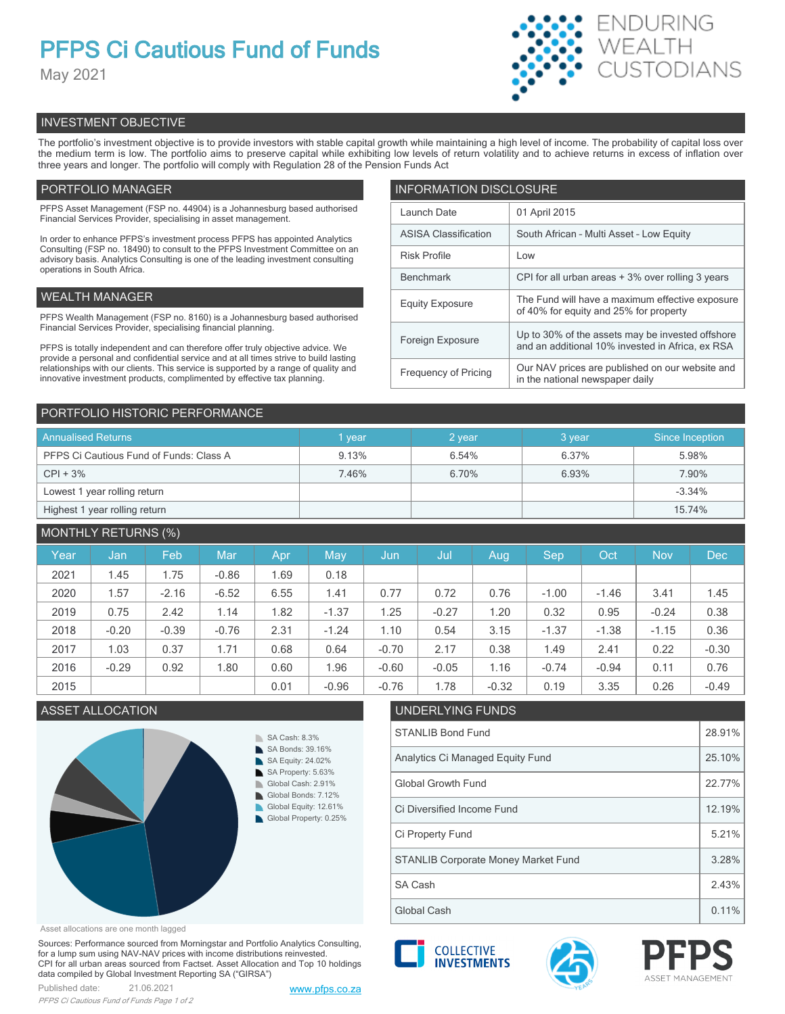# **PFPS Ci Cautious Fund of Funds**

May 2021



# INVESTMENT OBJECTIVE

The portfolio's investment objective is to provide investors with stable capital growth while maintaining a high level of income. The probability of capital loss over the medium term is low. The portfolio aims to preserve capital while exhibiting low levels of return volatility and to achieve returns in excess of inflation over three years and longer. The portfolio will comply with Regulation 28 of the Pension Funds Act

# PORTFOLIO MANAGER

PFPS Asset Management (FSP no. 44904) is a Johannesburg based authorised Financial Services Provider, specialising in asset management.

In order to enhance PFPS's investment process PFPS has appointed Analytics Consulting (FSP no. 18490) to consult to the PFPS Investment Committee on an advisory basis. Analytics Consulting is one of the leading investment consulting operations in South Africa.

# WEALTH MANAGER

PFPS Wealth Management (FSP no. 8160) is a Johannesburg based authorised Financial Services Provider, specialising financial planning.

PFPS is totally independent and can therefore offer truly objective advice. We provide a personal and confidential service and at all times strive to build lasting relationships with our clients. This service is supported by a range of quality and innovative investment products, complimented by effective tax planning.

| <b>INFORMATION DISCLOSURE</b> |                                                                                                      |  |  |  |  |  |
|-------------------------------|------------------------------------------------------------------------------------------------------|--|--|--|--|--|
| Launch Date                   | 01 April 2015                                                                                        |  |  |  |  |  |
| <b>ASISA Classification</b>   | South African - Multi Asset - Low Equity                                                             |  |  |  |  |  |
| <b>Risk Profile</b>           | Low                                                                                                  |  |  |  |  |  |
| <b>Benchmark</b>              | CPI for all urban areas + 3% over rolling 3 years                                                    |  |  |  |  |  |
| <b>Equity Exposure</b>        | The Fund will have a maximum effective exposure<br>of 40% for equity and 25% for property            |  |  |  |  |  |
| Foreign Exposure              | Up to 30% of the assets may be invested offshore<br>and an additional 10% invested in Africa, ex RSA |  |  |  |  |  |
| <b>Frequency of Pricing</b>   | Our NAV prices are published on our website and<br>in the national newspaper daily                   |  |  |  |  |  |

# PORTFOLIO HISTORIC PERFORMANCE

| <b>Annualised Returns</b>               | vear  | 2 year | 3 year | Since Inception |
|-----------------------------------------|-------|--------|--------|-----------------|
| PFPS Ci Cautious Fund of Funds: Class A | 9.13% | 6.54%  | 6.37%  | 5.98%           |
| $CPI + 3%$                              | 7.46% | 6.70%  | 6.93%  | 7.90%           |
| Lowest 1 year rolling return            |       |        |        | $-3.34%$        |
| Highest 1 year rolling return           |       |        |        | 15.74%          |

# MONTHLY RETURNS (%)

|      |         | $\sqrt{2}$ |            |      |         |         |         |         |         |         |            |            |
|------|---------|------------|------------|------|---------|---------|---------|---------|---------|---------|------------|------------|
| Year | Jan     | Feb        | <b>Mar</b> | Apr  | May     | Jun     | Jul     | Aug     | Sep     | Oct     | <b>Nov</b> | <b>Dec</b> |
| 2021 | 1.45    | 1.75       | $-0.86$    | 1.69 | 0.18    |         |         |         |         |         |            |            |
| 2020 | 1.57    | $-2.16$    | $-6.52$    | 6.55 | 1.41    | 0.77    | 0.72    | 0.76    | $-1.00$ | $-1.46$ | 3.41       | 1.45       |
| 2019 | 0.75    | 2.42       | 1.14       | 1.82 | $-1.37$ | 1.25    | $-0.27$ | 1.20    | 0.32    | 0.95    | $-0.24$    | 0.38       |
| 2018 | $-0.20$ | $-0.39$    | $-0.76$    | 2.31 | $-1.24$ | 1.10    | 0.54    | 3.15    | $-1.37$ | $-1.38$ | $-1.15$    | 0.36       |
| 2017 | 1.03    | 0.37       | 1.71       | 0.68 | 0.64    | $-0.70$ | 2.17    | 0.38    | 1.49    | 2.41    | 0.22       | $-0.30$    |
| 2016 | $-0.29$ | 0.92       | 1.80       | 0.60 | 1.96    | $-0.60$ | $-0.05$ | 1.16    | $-0.74$ | $-0.94$ | 0.11       | 0.76       |
| 2015 |         |            |            | 0.01 | $-0.96$ | $-0.76$ | 1.78    | $-0.32$ | 0.19    | 3.35    | 0.26       | $-0.49$    |

# ASSET ALLOCATION UNDERLYING FUNDS



# Asset allocations are one month lagged

Sources: Performance sourced from Morningstar and Portfolio Analytics Consulting, for a lump sum using NAV-NAV prices with income distributions reinvested. CPI for all urban areas sourced from Factset. Asset Allocation and Top 10 holdings data compiled by Global Investment Reporting SA ("GIRSA")